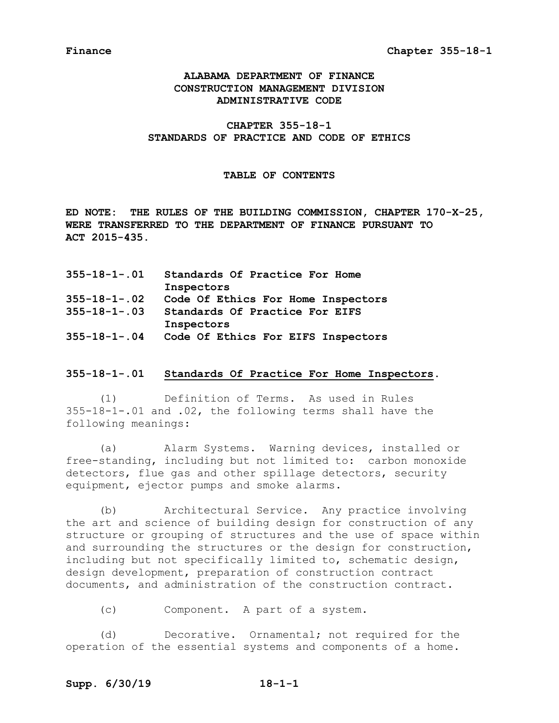# **ALABAMA DEPARTMENT OF FINANCE CONSTRUCTION MANAGEMENT DIVISION ADMINISTRATIVE CODE**

**CHAPTER 355-18-1 STANDARDS OF PRACTICE AND CODE OF ETHICS**

### **TABLE OF CONTENTS**

**ED NOTE: THE RULES OF THE BUILDING COMMISSION, CHAPTER 170-X-25, WERE TRANSFERRED TO THE DEPARTMENT OF FINANCE PURSUANT TO ACT 2015-435.**

| $355 - 18 - 1 - .01$ | Standards Of Practice For Home     |
|----------------------|------------------------------------|
|                      | Inspectors                         |
| $355 - 18 - 1 - 02$  | Code Of Ethics For Home Inspectors |
| $355 - 18 - 1 - .03$ | Standards Of Practice For EIFS     |
|                      | Inspectors                         |
| $355 - 18 - 1 - .04$ | Code Of Ethics For EIFS Inspectors |

### **355-18-1-.01 Standards Of Practice For Home Inspectors.**

(1) Definition of Terms. As used in Rules 355-18-1-.01 and .02, the following terms shall have the following meanings:

(a) Alarm Systems. Warning devices, installed or free-standing, including but not limited to: carbon monoxide detectors, flue gas and other spillage detectors, security equipment, ejector pumps and smoke alarms.

(b) Architectural Service. Any practice involving the art and science of building design for construction of any structure or grouping of structures and the use of space within and surrounding the structures or the design for construction, including but not specifically limited to, schematic design, design development, preparation of construction contract documents, and administration of the construction contract.

(c) Component. A part of a system.

(d) Decorative. Ornamental; not required for the operation of the essential systems and components of a home.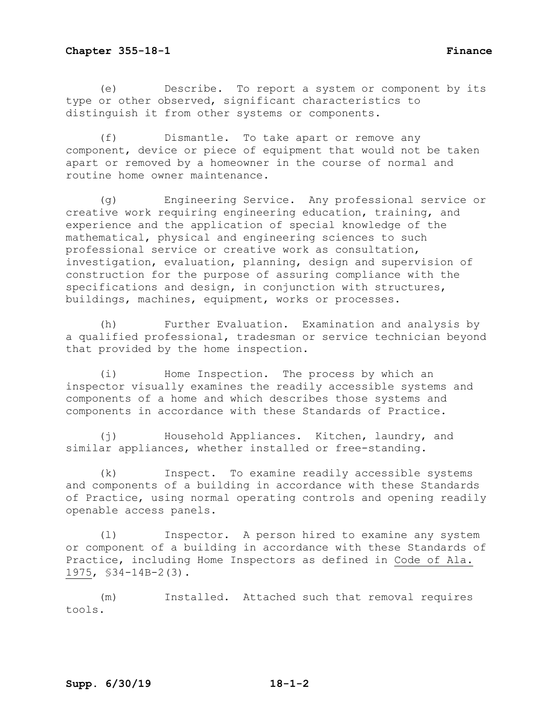(e) Describe. To report a system or component by its type or other observed, significant characteristics to distinguish it from other systems or components.

(f) Dismantle. To take apart or remove any component, device or piece of equipment that would not be taken apart or removed by a homeowner in the course of normal and routine home owner maintenance.

(g) Engineering Service. Any professional service or creative work requiring engineering education, training, and experience and the application of special knowledge of the mathematical, physical and engineering sciences to such professional service or creative work as consultation, investigation, evaluation, planning, design and supervision of construction for the purpose of assuring compliance with the specifications and design, in conjunction with structures, buildings, machines, equipment, works or processes.

(h) Further Evaluation. Examination and analysis by a qualified professional, tradesman or service technician beyond that provided by the home inspection.

(i) Home Inspection. The process by which an inspector visually examines the readily accessible systems and components of a home and which describes those systems and components in accordance with these Standards of Practice.

(j) Household Appliances. Kitchen, laundry, and similar appliances, whether installed or free-standing.

(k) Inspect. To examine readily accessible systems and components of a building in accordance with these Standards of Practice, using normal operating controls and opening readily openable access panels.

(l) Inspector. A person hired to examine any system or component of a building in accordance with these Standards of Practice, including Home Inspectors as defined in Code of Ala. 1975, §34-14B-2(3).

(m) Installed. Attached such that removal requires tools.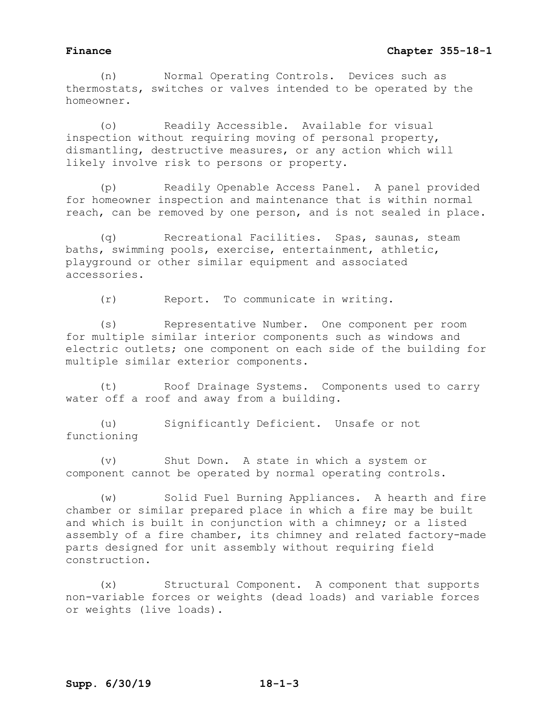(n) Normal Operating Controls. Devices such as thermostats, switches or valves intended to be operated by the homeowner.

(o) Readily Accessible. Available for visual inspection without requiring moving of personal property, dismantling, destructive measures, or any action which will likely involve risk to persons or property.

(p) Readily Openable Access Panel. A panel provided for homeowner inspection and maintenance that is within normal reach, can be removed by one person, and is not sealed in place.

(q) Recreational Facilities. Spas, saunas, steam baths, swimming pools, exercise, entertainment, athletic, playground or other similar equipment and associated accessories.

(r) Report. To communicate in writing.

(s) Representative Number. One component per room for multiple similar interior components such as windows and electric outlets; one component on each side of the building for multiple similar exterior components.

(t) Roof Drainage Systems. Components used to carry water off a roof and away from a building.

(u) Significantly Deficient. Unsafe or not functioning

(v) Shut Down. A state in which a system or component cannot be operated by normal operating controls.

(w) Solid Fuel Burning Appliances. A hearth and fire chamber or similar prepared place in which a fire may be built and which is built in conjunction with a chimney; or a listed assembly of a fire chamber, its chimney and related factory-made parts designed for unit assembly without requiring field construction.

(x) Structural Component. A component that supports non-variable forces or weights (dead loads) and variable forces or weights (live loads).

**Supp. 6/30/19 18-1-3**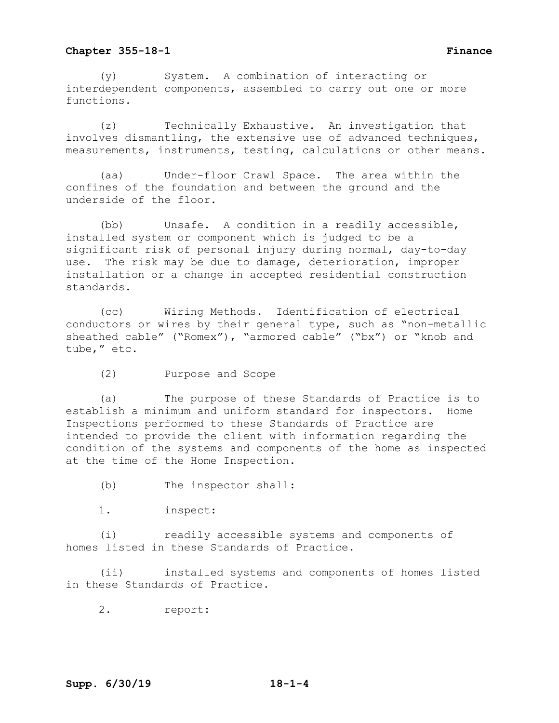(y) System. A combination of interacting or interdependent components, assembled to carry out one or more functions.

(z) Technically Exhaustive. An investigation that involves dismantling, the extensive use of advanced techniques, measurements, instruments, testing, calculations or other means.

(aa) Under-floor Crawl Space. The area within the confines of the foundation and between the ground and the underside of the floor.

(bb) Unsafe. A condition in a readily accessible, installed system or component which is judged to be a significant risk of personal injury during normal, day-to-day use. The risk may be due to damage, deterioration, improper installation or a change in accepted residential construction standards.

(cc) Wiring Methods. Identification of electrical conductors or wires by their general type, such as "non-metallic sheathed cable" ("Romex"), "armored cable" ("bx") or "knob and tube," etc.

(2) Purpose and Scope

(a) The purpose of these Standards of Practice is to establish a minimum and uniform standard for inspectors. Home Inspections performed to these Standards of Practice are intended to provide the client with information regarding the condition of the systems and components of the home as inspected at the time of the Home Inspection.

(b) The inspector shall:

1. inspect:

(i) readily accessible systems and components of homes listed in these Standards of Practice.

(ii) installed systems and components of homes listed in these Standards of Practice.

2. report: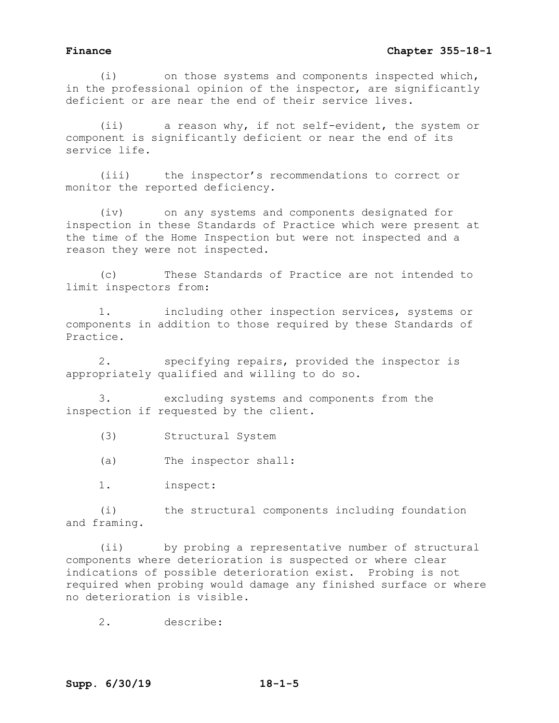(i) on those systems and components inspected which, in the professional opinion of the inspector, are significantly deficient or are near the end of their service lives.

(ii) a reason why, if not self-evident, the system or component is significantly deficient or near the end of its service life.

(iii) the inspector's recommendations to correct or monitor the reported deficiency.

(iv) on any systems and components designated for inspection in these Standards of Practice which were present at the time of the Home Inspection but were not inspected and a reason they were not inspected.

(c) These Standards of Practice are not intended to limit inspectors from:

1. including other inspection services, systems or components in addition to those required by these Standards of Practice.

2. specifying repairs, provided the inspector is appropriately qualified and willing to do so.

3. excluding systems and components from the inspection if requested by the client.

(3) Structural System

(a) The inspector shall:

1. inspect:

(i) the structural components including foundation and framing.

(ii) by probing a representative number of structural components where deterioration is suspected or where clear indications of possible deterioration exist. Probing is not required when probing would damage any finished surface or where no deterioration is visible.

2. describe: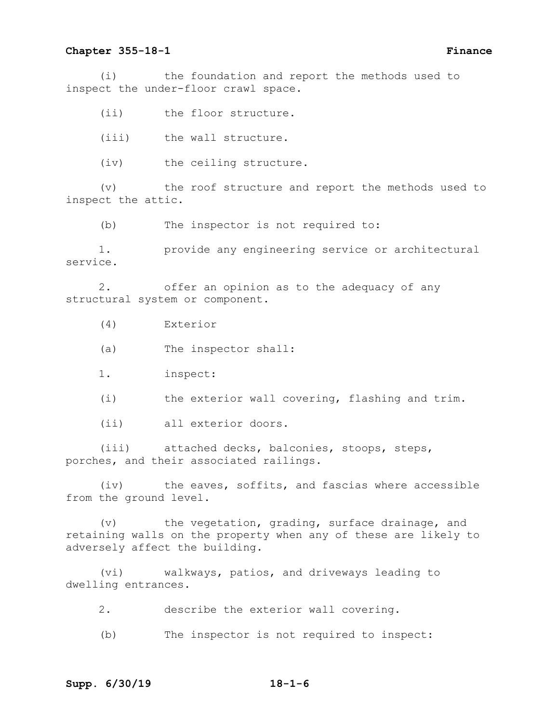(i) the foundation and report the methods used to inspect the under-floor crawl space.

(ii) the floor structure.

(iii) the wall structure.

(iv) the ceiling structure.

(v) the roof structure and report the methods used to inspect the attic.

(b) The inspector is not required to:

1. provide any engineering service or architectural service.

2. offer an opinion as to the adequacy of any structural system or component.

(4) Exterior

(a) The inspector shall:

1. inspect:

(i) the exterior wall covering, flashing and trim.

(ii) all exterior doors.

(iii) attached decks, balconies, stoops, steps, porches, and their associated railings.

(iv) the eaves, soffits, and fascias where accessible from the ground level.

(v) the vegetation, grading, surface drainage, and retaining walls on the property when any of these are likely to adversely affect the building.

(vi) walkways, patios, and driveways leading to dwelling entrances.

2. describe the exterior wall covering.

(b) The inspector is not required to inspect: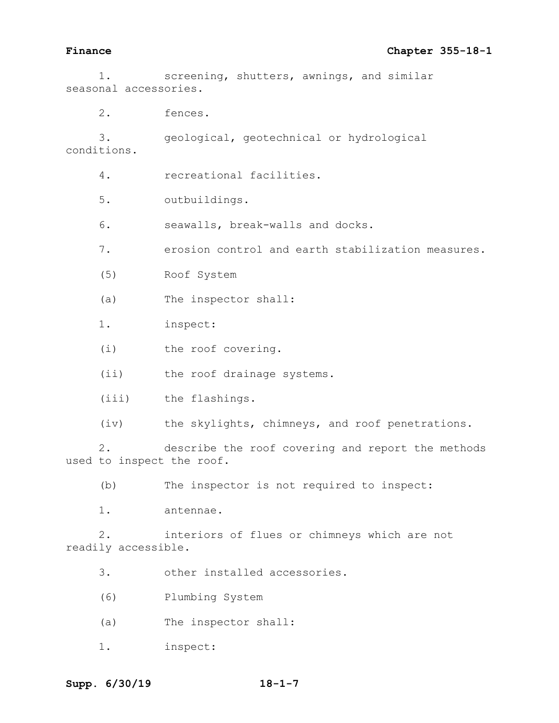1. screening, shutters, awnings, and similar seasonal accessories.

2. fences.

3. geological, geotechnical or hydrological conditions.

4. recreational facilities.

5. outbuildings.

6. seawalls, break-walls and docks.

7. erosion control and earth stabilization measures.

(5) Roof System

(a) The inspector shall:

1. inspect:

(i) the roof covering.

(ii) the roof drainage systems.

(iii) the flashings.

(iv) the skylights, chimneys, and roof penetrations.

2. describe the roof covering and report the methods used to inspect the roof.

(b) The inspector is not required to inspect:

1. antennae.

2. interiors of flues or chimneys which are not readily accessible.

3. other installed accessories.

(6) Plumbing System

(a) The inspector shall:

1. inspect: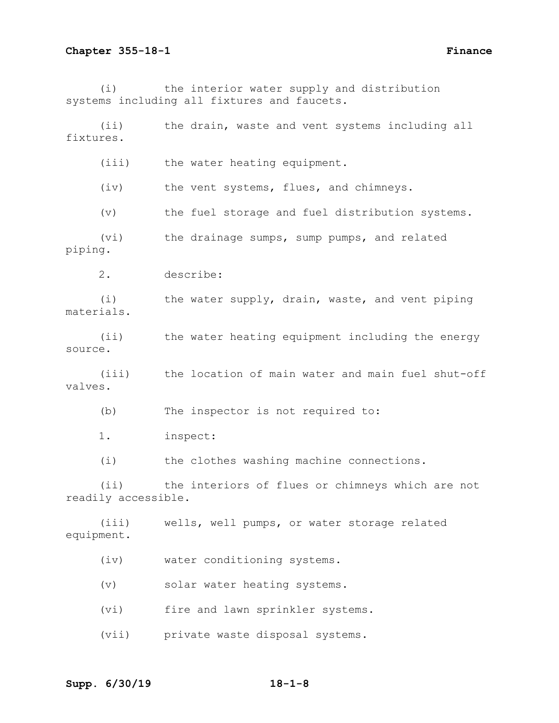(i) the interior water supply and distribution systems including all fixtures and faucets.

(ii) the drain, waste and vent systems including all fixtures.

(iii) the water heating equipment.

(iv) the vent systems, flues, and chimneys.

(v) the fuel storage and fuel distribution systems.

(vi) the drainage sumps, sump pumps, and related piping.

2. describe:

(i) the water supply, drain, waste, and vent piping materials.

(ii) the water heating equipment including the energy source.

(iii) the location of main water and main fuel shut-off valves.

(b) The inspector is not required to:

1. inspect:

(i) the clothes washing machine connections.

(ii) the interiors of flues or chimneys which are not readily accessible.

(iii) wells, well pumps, or water storage related equipment.

(iv) water conditioning systems.

(v) solar water heating systems.

(vi) fire and lawn sprinkler systems.

(vii) private waste disposal systems.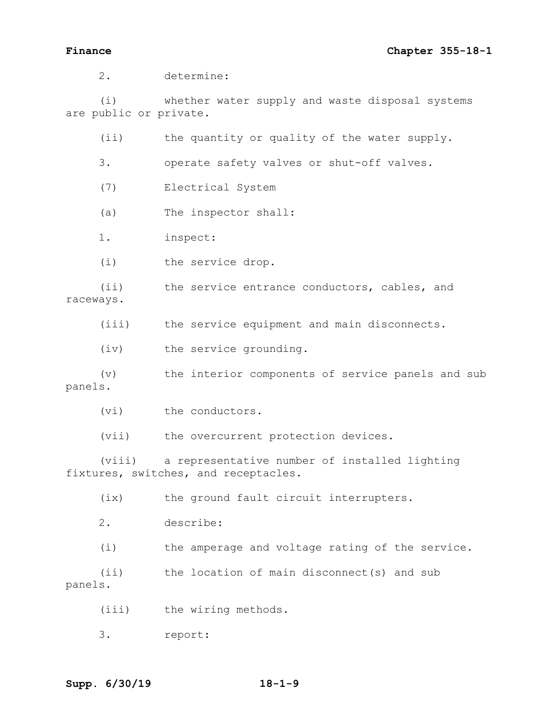2. determine:

(i) whether water supply and waste disposal systems are public or private.

(ii) the quantity or quality of the water supply.

3. operate safety valves or shut-off valves.

(7) Electrical System

(a) The inspector shall:

1. inspect:

(i) the service drop.

(ii) the service entrance conductors, cables, and raceways.

(iii) the service equipment and main disconnects.

(iv) the service grounding.

(v) the interior components of service panels and sub panels.

(vi) the conductors.

(vii) the overcurrent protection devices.

(viii) a representative number of installed lighting fixtures, switches, and receptacles.

(ix) the ground fault circuit interrupters.

2. describe:

(i) the amperage and voltage rating of the service.

(ii) the location of main disconnect(s) and sub panels.

(iii) the wiring methods.

3. report: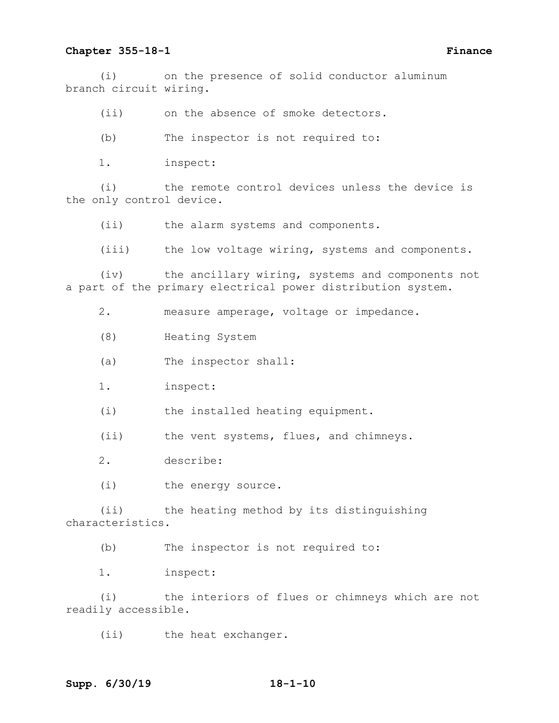(i) on the presence of solid conductor aluminum branch circuit wiring.

(ii) on the absence of smoke detectors.

(b) The inspector is not required to:

1. inspect:

(i) the remote control devices unless the device is the only control device.

(ii) the alarm systems and components.

(iii) the low voltage wiring, systems and components.

(iv) the ancillary wiring, systems and components not a part of the primary electrical power distribution system.

2. measure amperage, voltage or impedance.

(8) Heating System

(a) The inspector shall:

1. inspect:

(i) the installed heating equipment.

(ii) the vent systems, flues, and chimneys.

2. describe:

(i) the energy source.

(ii) the heating method by its distinguishing characteristics.

(b) The inspector is not required to:

1. inspect:

(i) the interiors of flues or chimneys which are not readily accessible.

(ii) the heat exchanger.

# **Supp. 6/30/19 18-1-10**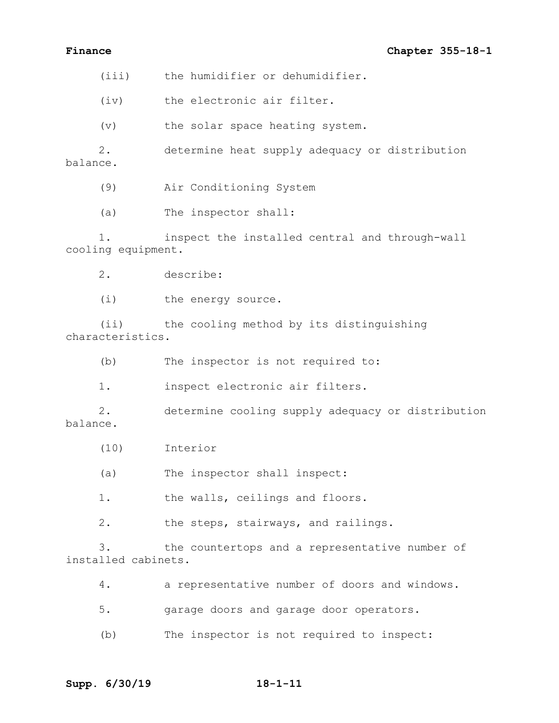(iii) the humidifier or dehumidifier.

(iv) the electronic air filter.

(v) the solar space heating system.

2. determine heat supply adequacy or distribution balance.

(9) Air Conditioning System

(a) The inspector shall:

1. inspect the installed central and through-wall cooling equipment.

2. describe:

(i) the energy source.

(ii) the cooling method by its distinguishing characteristics.

(b) The inspector is not required to:

1. inspect electronic air filters.

2. determine cooling supply adequacy or distribution balance.

(10) Interior

(a) The inspector shall inspect:

1. the walls, ceilings and floors.

2. the steps, stairways, and railings.

3. the countertops and a representative number of installed cabinets.

4. a representative number of doors and windows.

5. garage doors and garage door operators.

(b) The inspector is not required to inspect: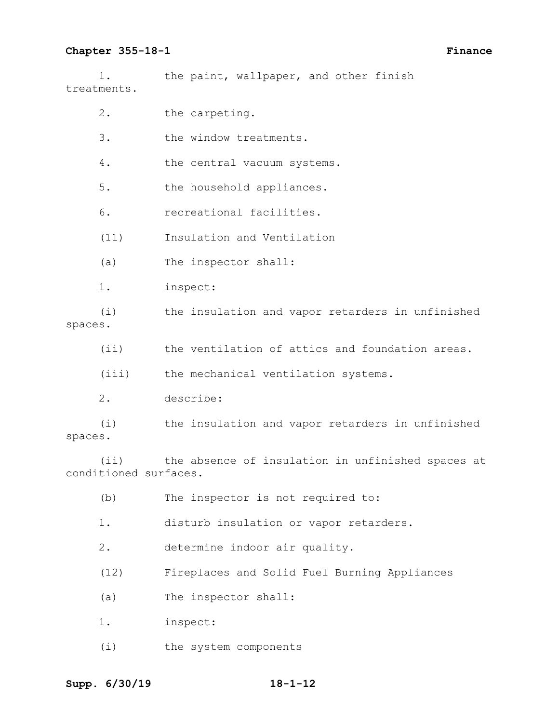1. the paint, wallpaper, and other finish treatments.

|         | $2$ . | the carpeting.                                   |
|---------|-------|--------------------------------------------------|
|         | 3.    | the window treatments.                           |
|         | 4.    | the central vacuum systems.                      |
|         | $5.$  | the household appliances.                        |
|         | 6.    | recreational facilities.                         |
|         | (11)  | Insulation and Ventilation                       |
|         | (a)   | The inspector shall:                             |
|         | $1$ . | inspect:                                         |
| spaces. | (i)   | the insulation and vapor retarders in unfinished |
|         | (iii) | the ventilation of attics and foundation areas.  |
|         | (iii) | the mechanical ventilation systems.              |

2. describe:

(i) the insulation and vapor retarders in unfinished spaces.

(ii) the absence of insulation in unfinished spaces at conditioned surfaces.

- (b) The inspector is not required to:
- 1. disturb insulation or vapor retarders.
- 2. determine indoor air quality.
- (12) Fireplaces and Solid Fuel Burning Appliances
- (a) The inspector shall:
- 1. inspect:
- (i) the system components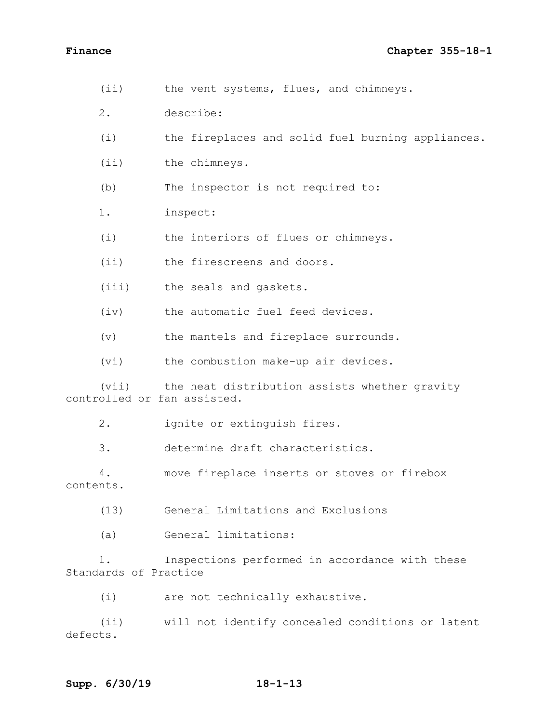| $(i$ i)                              | the vent systems, flues, and chimneys.            |
|--------------------------------------|---------------------------------------------------|
| 2.                                   | describe:                                         |
| (i)                                  | the fireplaces and solid fuel burning appliances. |
| (i)                                  | the chimneys.                                     |
| (b)                                  | The inspector is not required to:                 |
| 1.                                   | inspect:                                          |
| (i)                                  | the interiors of flues or chimneys.               |
| (iii)                                | the firescreens and doors.                        |
| (iii)                                | the seals and gaskets.                            |
| (iv)                                 | the automatic fuel feed devices.                  |
| $(\triangledown)$                    | the mantels and fireplace surrounds.              |
| (vi)                                 | the combustion make-up air devices.               |
| (vii)<br>controlled or fan assisted. | the heat distribution assists whether gravity     |
| 2.                                   | ignite or extinguish fires.                       |
| 3.                                   | determine draft characteristics.                  |
| 4.<br>contents.                      | move fireplace inserts or stoves or firebox       |
| (13)                                 | General Limitations and Exclusions                |
| (a)                                  | General limitations:                              |
| 1.<br>Standards of Practice          | Inspections performed in accordance with these    |
| (i)                                  | are not technically exhaustive.                   |

(ii) will not identify concealed conditions or latent defects.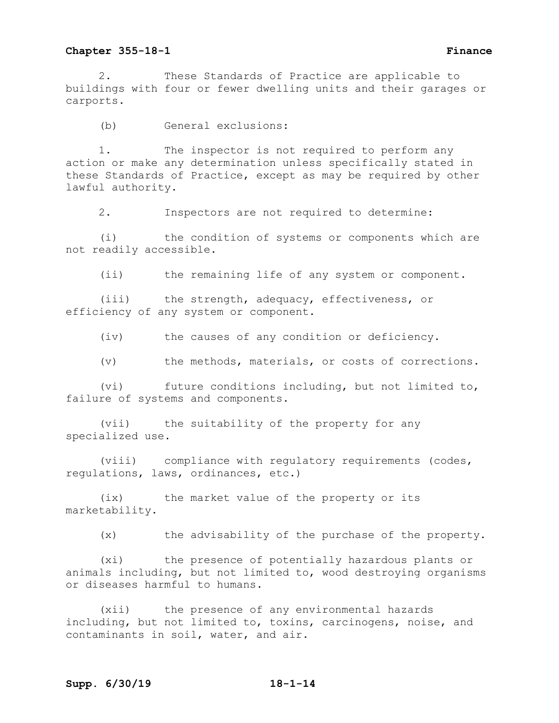2. These Standards of Practice are applicable to buildings with four or fewer dwelling units and their garages or carports.

(b) General exclusions:

1. The inspector is not required to perform any action or make any determination unless specifically stated in these Standards of Practice, except as may be required by other lawful authority.

2. Inspectors are not required to determine:

(i) the condition of systems or components which are not readily accessible.

(ii) the remaining life of any system or component.

(iii) the strength, adequacy, effectiveness, or efficiency of any system or component.

(iv) the causes of any condition or deficiency.

(v) the methods, materials, or costs of corrections.

(vi) future conditions including, but not limited to, failure of systems and components.

(vii) the suitability of the property for any specialized use.

(viii) compliance with regulatory requirements (codes, regulations, laws, ordinances, etc.)

(ix) the market value of the property or its marketability.

(x) the advisability of the purchase of the property.

(xi) the presence of potentially hazardous plants or animals including, but not limited to, wood destroying organisms or diseases harmful to humans.

(xii) the presence of any environmental hazards including, but not limited to, toxins, carcinogens, noise, and contaminants in soil, water, and air.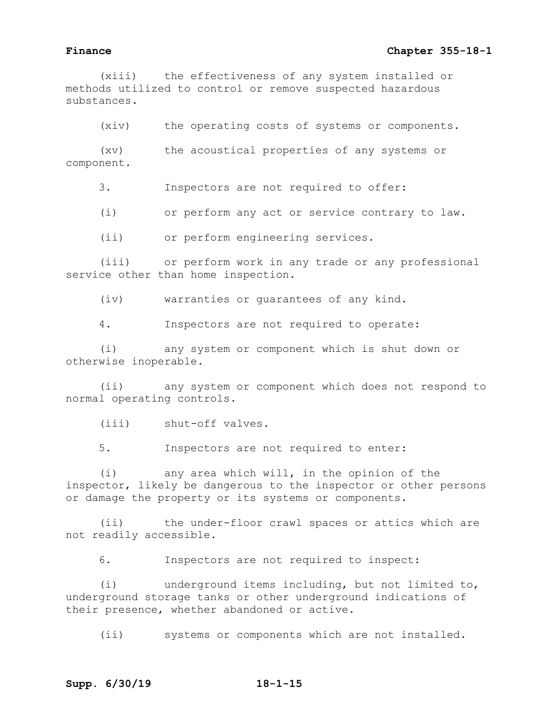(xiii) the effectiveness of any system installed or methods utilized to control or remove suspected hazardous substances.

(xiv) the operating costs of systems or components.

(xv) the acoustical properties of any systems or component.

3. Inspectors are not required to offer:

(i) or perform any act or service contrary to law.

(ii) or perform engineering services.

(iii) or perform work in any trade or any professional service other than home inspection.

(iv) warranties or guarantees of any kind.

4. Inspectors are not required to operate:

(i) any system or component which is shut down or otherwise inoperable.

(ii) any system or component which does not respond to normal operating controls.

(iii) shut-off valves.

5. Inspectors are not required to enter:

(i) any area which will, in the opinion of the inspector, likely be dangerous to the inspector or other persons or damage the property or its systems or components.

(ii) the under-floor crawl spaces or attics which are not readily accessible.

6. Inspectors are not required to inspect:

(i) underground items including, but not limited to, underground storage tanks or other underground indications of their presence, whether abandoned or active.

(ii) systems or components which are not installed.

# **Supp. 6/30/19 18-1-15**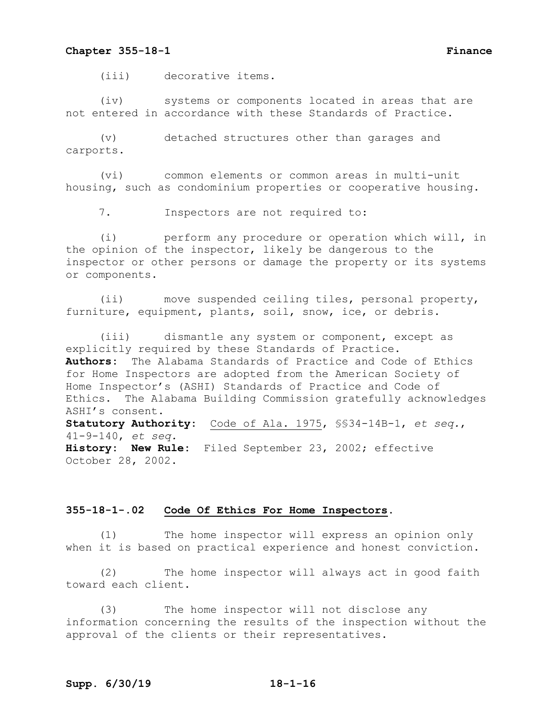(iii) decorative items.

(iv) systems or components located in areas that are not entered in accordance with these Standards of Practice.

(v) detached structures other than garages and carports.

(vi) common elements or common areas in multi-unit housing, such as condominium properties or cooperative housing.

7. Inspectors are not required to:

(i) perform any procedure or operation which will, in the opinion of the inspector, likely be dangerous to the inspector or other persons or damage the property or its systems or components.

(ii) move suspended ceiling tiles, personal property, furniture, equipment, plants, soil, snow, ice, or debris.

(iii) dismantle any system or component, except as explicitly required by these Standards of Practice. **Authors:** The Alabama Standards of Practice and Code of Ethics for Home Inspectors are adopted from the American Society of Home Inspector's (ASHI) Standards of Practice and Code of Ethics. The Alabama Building Commission gratefully acknowledges ASHI's consent. **Statutory Authority:** Code of Ala. 1975, §§34-14B-1, *et seq.*, 41-9-140, *et seq.* **History: New Rule:** Filed September 23, 2002; effective October 28, 2002.

### **355-18-1-.02 Code Of Ethics For Home Inspectors.**

(1) The home inspector will express an opinion only when it is based on practical experience and honest conviction.

(2) The home inspector will always act in good faith toward each client.

(3) The home inspector will not disclose any information concerning the results of the inspection without the approval of the clients or their representatives.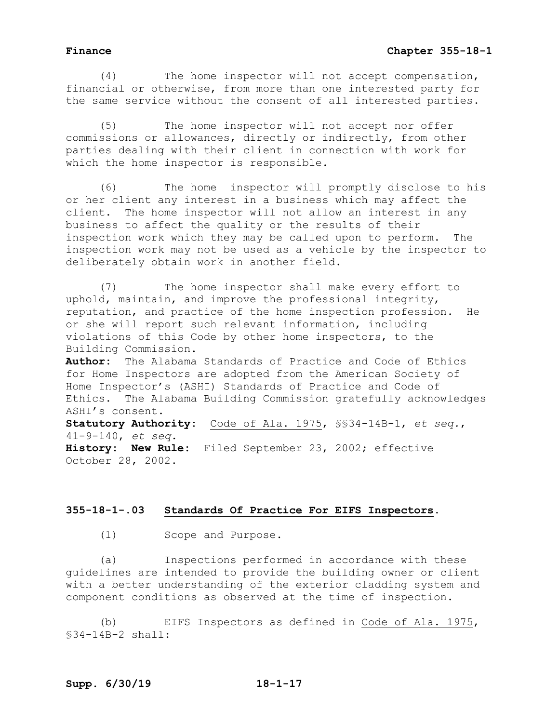(4) The home inspector will not accept compensation, financial or otherwise, from more than one interested party for the same service without the consent of all interested parties.

(5) The home inspector will not accept nor offer commissions or allowances, directly or indirectly, from other parties dealing with their client in connection with work for which the home inspector is responsible.

(6) The home inspector will promptly disclose to his or her client any interest in a business which may affect the client. The home inspector will not allow an interest in any business to affect the quality or the results of their inspection work which they may be called upon to perform. The inspection work may not be used as a vehicle by the inspector to deliberately obtain work in another field.

(7) The home inspector shall make every effort to uphold, maintain, and improve the professional integrity, reputation, and practice of the home inspection profession. He or she will report such relevant information, including violations of this Code by other home inspectors, to the Building Commission.

**Author:** The Alabama Standards of Practice and Code of Ethics for Home Inspectors are adopted from the American Society of Home Inspector's (ASHI) Standards of Practice and Code of Ethics. The Alabama Building Commission gratefully acknowledges ASHI's consent. **Statutory Authority:** Code of Ala. 1975, §§34-14B-1, *et seq.*, 41-9-140, *et seq.* **History: New Rule:** Filed September 23, 2002; effective

October 28, 2002.

## **355-18-1-.03 Standards Of Practice For EIFS Inspectors.**

(1) Scope and Purpose.

(a) Inspections performed in accordance with these guidelines are intended to provide the building owner or client with a better understanding of the exterior cladding system and component conditions as observed at the time of inspection.

(b) EIFS Inspectors as defined in Code of Ala. 1975, §34-14B-2 shall: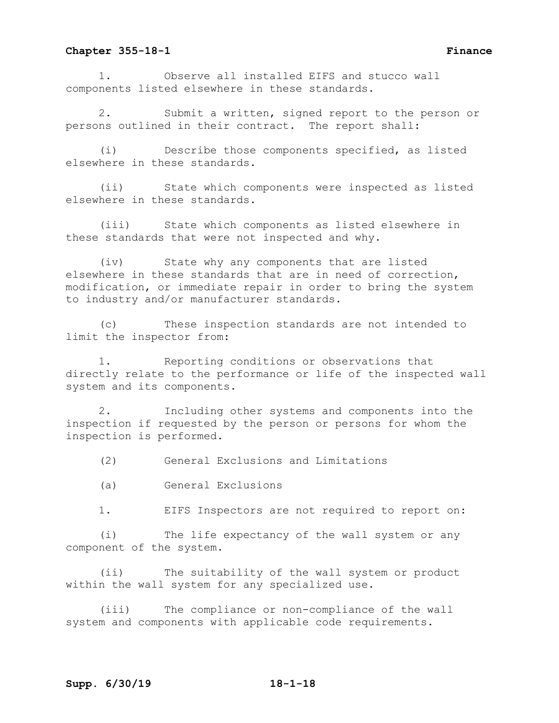1. Observe all installed EIFS and stucco wall components listed elsewhere in these standards.

Submit a written, signed report to the person or persons outlined in their contract. The report shall:

(i) Describe those components specified, as listed elsewhere in these standards.

(ii) State which components were inspected as listed elsewhere in these standards.

(iii) State which components as listed elsewhere in these standards that were not inspected and why.

(iv) State why any components that are listed elsewhere in these standards that are in need of correction, modification, or immediate repair in order to bring the system to industry and/or manufacturer standards.

(c) These inspection standards are not intended to limit the inspector from:

1. Reporting conditions or observations that directly relate to the performance or life of the inspected wall system and its components.

2. Including other systems and components into the inspection if requested by the person or persons for whom the inspection is performed.

(2) General Exclusions and Limitations

(a) General Exclusions

1. EIFS Inspectors are not required to report on:

(i) The life expectancy of the wall system or any component of the system.

(ii) The suitability of the wall system or product within the wall system for any specialized use.

(iii) The compliance or non-compliance of the wall system and components with applicable code requirements.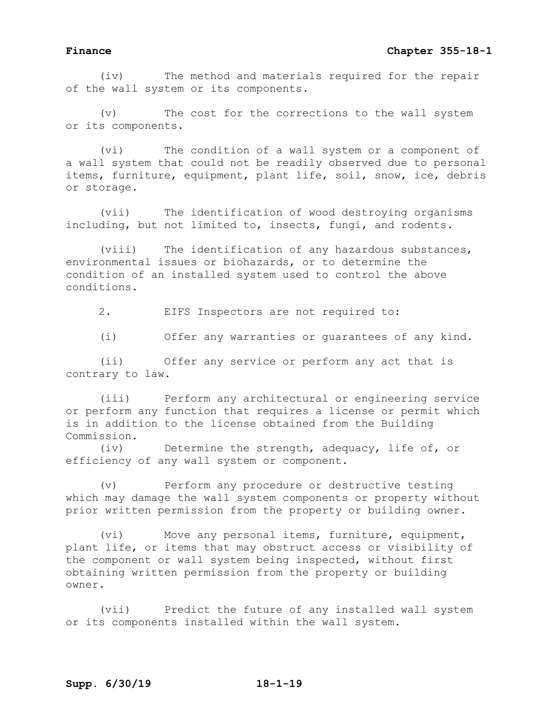(iv) The method and materials required for the repair of the wall system or its components.

(v) The cost for the corrections to the wall system or its components.

(vi) The condition of a wall system or a component of a wall system that could not be readily observed due to personal items, furniture, equipment, plant life, soil, snow, ice, debris or storage.

(vii) The identification of wood destroying organisms including, but not limited to, insects, fungi, and rodents.

(viii) The identification of any hazardous substances, environmental issues or biohazards, or to determine the condition of an installed system used to control the above conditions.

2. EIFS Inspectors are not required to:

(i) Offer any warranties or guarantees of any kind.

(ii) Offer any service or perform any act that is contrary to law.

(iii) Perform any architectural or engineering service or perform any function that requires a license or permit which is in addition to the license obtained from the Building Commission.

(iv) Determine the strength, adequacy, life of, or efficiency of any wall system or component.

(v) Perform any procedure or destructive testing which may damage the wall system components or property without prior written permission from the property or building owner.

(vi) Move any personal items, furniture, equipment, plant life, or items that may obstruct access or visibility of the component or wall system being inspected, without first obtaining written permission from the property or building owner.

(vii) Predict the future of any installed wall system or its components installed within the wall system.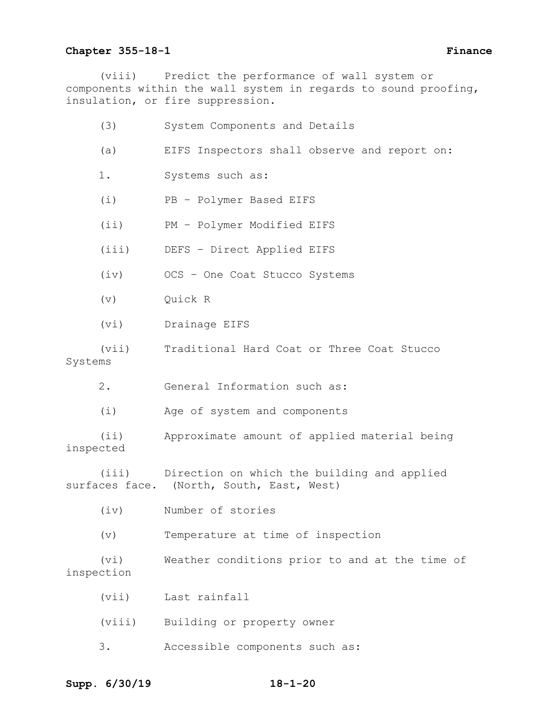(viii) Predict the performance of wall system or components within the wall system in regards to sound proofing, insulation, or fire suppression.

|           | (3)                | System Components and Details                                                                  |
|-----------|--------------------|------------------------------------------------------------------------------------------------|
|           | (a)                | EIFS Inspectors shall observe and report on:                                                   |
|           | 1.                 | Systems such as:                                                                               |
|           | (i)                | PB - Polymer Based EIFS                                                                        |
|           | (i)                | PM - Polymer Modified EIFS                                                                     |
|           | (iii)              | DEFS - Direct Applied EIFS                                                                     |
|           | (iv)               | OCS - One Coat Stucco Systems                                                                  |
|           | $(\triangledown)$  | Quick R                                                                                        |
|           | (vi)               | Drainage EIFS                                                                                  |
| Systems   | (vii)              | Traditional Hard Coat or Three Coat Stucco                                                     |
|           | 2.                 | General Information such as:                                                                   |
|           | (i)                | Age of system and components                                                                   |
| inspected | (i <sub>i</sub> )  | Approximate amount of applied material being                                                   |
|           |                    | (iii) Direction on which the building and applied<br>surfaces face. (North, South, East, West) |
|           |                    | (iv) Number of stories                                                                         |
|           | (v)                | Temperature at time of inspection                                                              |
|           | (vi)<br>inspection | Weather conditions prior to and at the time of                                                 |
|           | (vii)              | Last rainfall                                                                                  |
|           | (viii)             | Building or property owner                                                                     |
|           | 3.                 | Accessible components such as:                                                                 |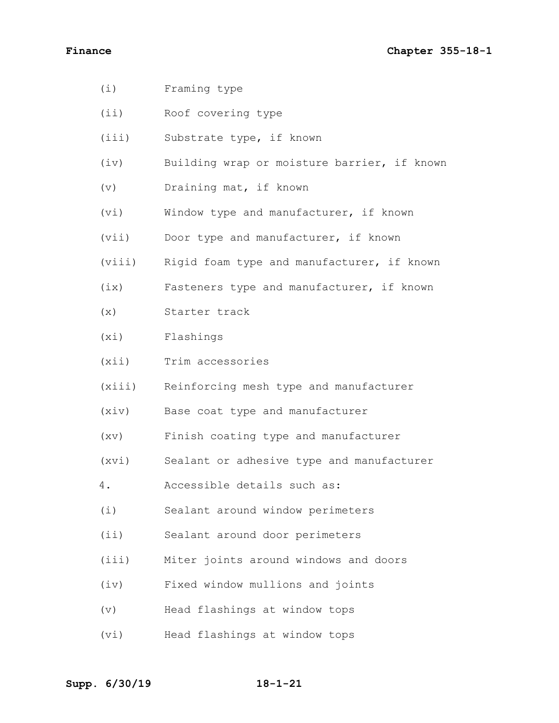(i) Framing type (ii) Roof covering type (iii) Substrate type, if known (iv) Building wrap or moisture barrier, if known (v) Draining mat, if known (vi) Window type and manufacturer, if known (vii) Door type and manufacturer, if known (viii) Rigid foam type and manufacturer, if known (ix) Fasteners type and manufacturer, if known (x) Starter track (xi) Flashings (xii) Trim accessories (xiii) Reinforcing mesh type and manufacturer (xiv) Base coat type and manufacturer (xv) Finish coating type and manufacturer (xvi) Sealant or adhesive type and manufacturer 4. Accessible details such as: (i) Sealant around window perimeters (ii) Sealant around door perimeters (iii) Miter joints around windows and doors (iv) Fixed window mullions and joints (v) Head flashings at window tops (vi) Head flashings at window tops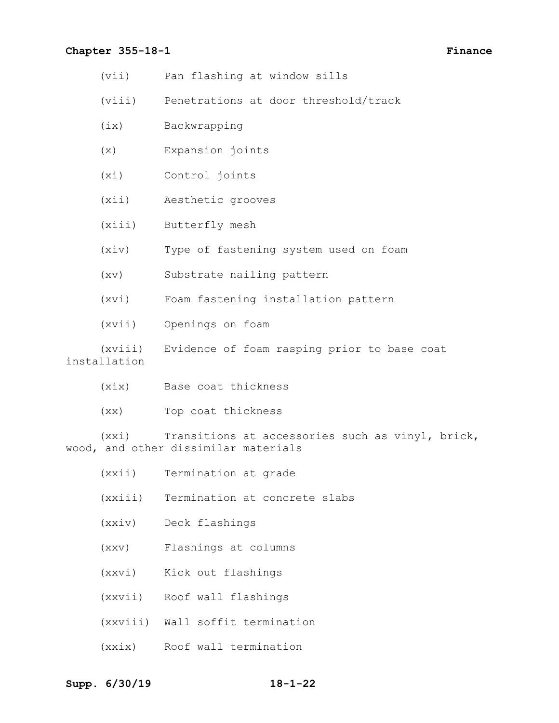- (vii) Pan flashing at window sills
- (viii) Penetrations at door threshold/track
- (ix) Backwrapping
- (x) Expansion joints
- (xi) Control joints
- (xii) Aesthetic grooves
- (xiii) Butterfly mesh
- (xiv) Type of fastening system used on foam
- (xv) Substrate nailing pattern

(xvi) Foam fastening installation pattern

(xvii) Openings on foam

(xviii) Evidence of foam rasping prior to base coat installation

- (xix) Base coat thickness
- (xx) Top coat thickness

(xxi) Transitions at accessories such as vinyl, brick, wood, and other dissimilar materials

- (xxii) Termination at grade
- (xxiii) Termination at concrete slabs
- (xxiv) Deck flashings
- (xxv) Flashings at columns
- (xxvi) Kick out flashings
- (xxvii) Roof wall flashings
- (xxviii) Wall soffit termination
- (xxix) Roof wall termination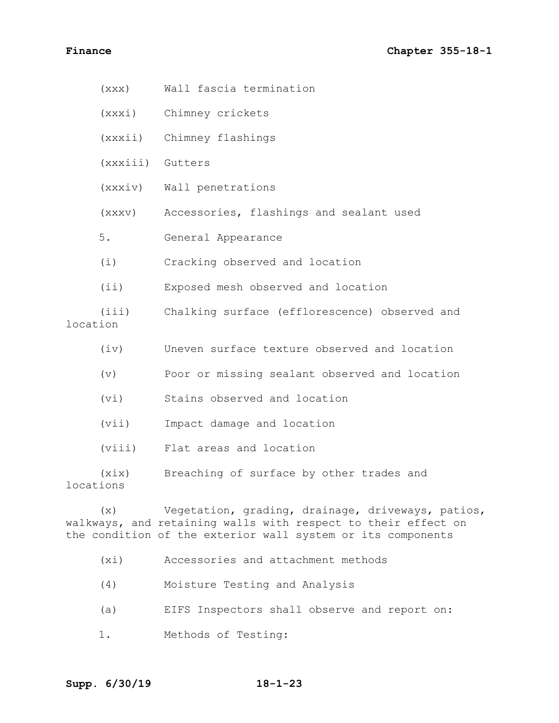- (xxx) Wall fascia termination
- (xxxi) Chimney crickets
- (xxxii) Chimney flashings
- (xxxiii) Gutters
- (xxxiv) Wall penetrations
- (xxxv) Accessories, flashings and sealant used
- 5. General Appearance
- (i) Cracking observed and location
- (ii) Exposed mesh observed and location
- (iii) Chalking surface (efflorescence) observed and location
	- (iv) Uneven surface texture observed and location
	- (v) Poor or missing sealant observed and location
	- (vi) Stains observed and location
	- (vii) Impact damage and location
	- (viii) Flat areas and location
- (xix) Breaching of surface by other trades and locations

(x) Vegetation, grading, drainage, driveways, patios, walkways, and retaining walls with respect to their effect on the condition of the exterior wall system or its components

- (xi) Accessories and attachment methods
- (4) Moisture Testing and Analysis
- (a) EIFS Inspectors shall observe and report on:
- 1. Methods of Testing: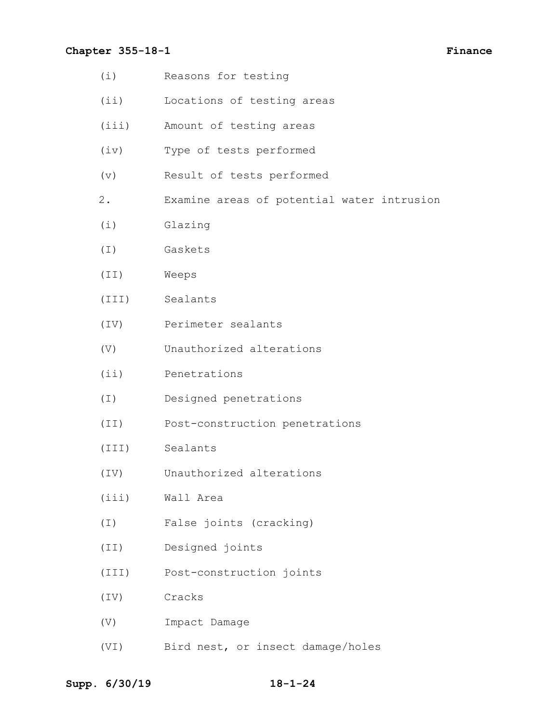- (i) Reasons for testing
- (ii) Locations of testing areas
- (iii) Amount of testing areas
- (iv) Type of tests performed
- (v) Result of tests performed
- 2. Examine areas of potential water intrusion
- (i) Glazing
- (I) Gaskets
- (II) Weeps
- (III) Sealants
- (IV) Perimeter sealants
- (V) Unauthorized alterations
- (ii) Penetrations
- (I) Designed penetrations
- (II) Post-construction penetrations
- (III) Sealants
- (IV) Unauthorized alterations
- (iii) Wall Area
- (I) False joints (cracking)
- (II) Designed joints
- (III) Post-construction joints
- (IV) Cracks
- (V) Impact Damage
- (VI) Bird nest, or insect damage/holes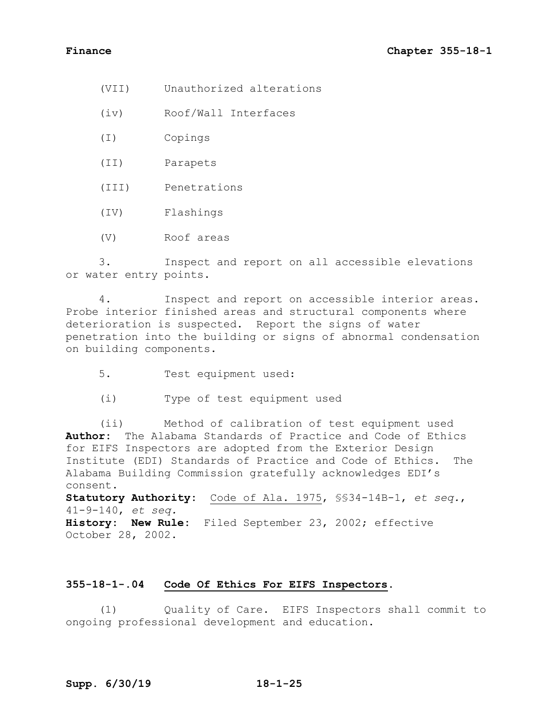- (VII) Unauthorized alterations
- (iv) Roof/Wall Interfaces
- (I) Copings
- (II) Parapets
- (III) Penetrations
- (IV) Flashings
- (V) Roof areas

3. Inspect and report on all accessible elevations or water entry points.

4. Inspect and report on accessible interior areas. Probe interior finished areas and structural components where deterioration is suspected. Report the signs of water penetration into the building or signs of abnormal condensation on building components.

- 5. Test equipment used:
- (i) Type of test equipment used

(ii) Method of calibration of test equipment used **Author:** The Alabama Standards of Practice and Code of Ethics for EIFS Inspectors are adopted from the Exterior Design Institute (EDI) Standards of Practice and Code of Ethics. The Alabama Building Commission gratefully acknowledges EDI's consent.

**Statutory Authority:** Code of Ala. 1975, §§34-14B-1, *et seq.*, 41-9-140, *et seq.* **History: New Rule:** Filed September 23, 2002; effective October 28, 2002.

# **355-18-1-.04 Code Of Ethics For EIFS Inspectors.**

(1) Quality of Care. EIFS Inspectors shall commit to ongoing professional development and education.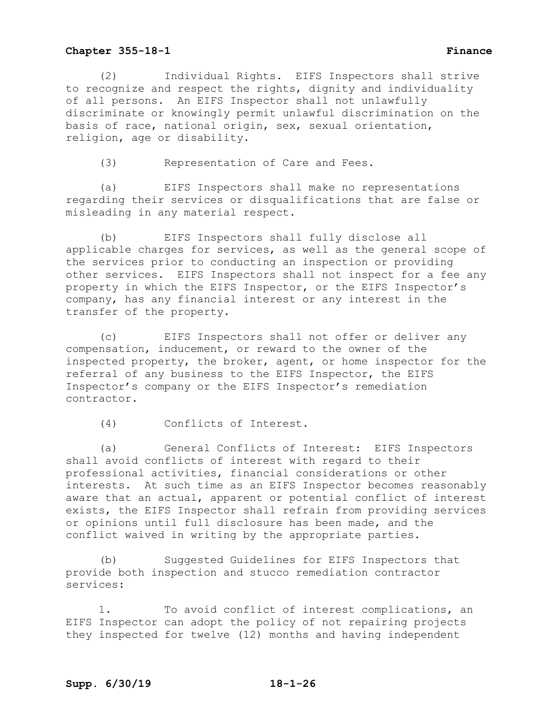(2) Individual Rights. EIFS Inspectors shall strive to recognize and respect the rights, dignity and individuality of all persons. An EIFS Inspector shall not unlawfully discriminate or knowingly permit unlawful discrimination on the basis of race, national origin, sex, sexual orientation, religion, age or disability.

(3) Representation of Care and Fees.

(a) EIFS Inspectors shall make no representations regarding their services or disqualifications that are false or misleading in any material respect.

(b) EIFS Inspectors shall fully disclose all applicable charges for services, as well as the general scope of the services prior to conducting an inspection or providing other services. EIFS Inspectors shall not inspect for a fee any property in which the EIFS Inspector, or the EIFS Inspector's company, has any financial interest or any interest in the transfer of the property.

(c) EIFS Inspectors shall not offer or deliver any compensation, inducement, or reward to the owner of the inspected property, the broker, agent, or home inspector for the referral of any business to the EIFS Inspector, the EIFS Inspector's company or the EIFS Inspector's remediation contractor.

(4) Conflicts of Interest.

(a) General Conflicts of Interest: EIFS Inspectors shall avoid conflicts of interest with regard to their professional activities, financial considerations or other interests. At such time as an EIFS Inspector becomes reasonably aware that an actual, apparent or potential conflict of interest exists, the EIFS Inspector shall refrain from providing services or opinions until full disclosure has been made, and the conflict waived in writing by the appropriate parties.

(b) Suggested Guidelines for EIFS Inspectors that provide both inspection and stucco remediation contractor services:

1. To avoid conflict of interest complications, an EIFS Inspector can adopt the policy of not repairing projects they inspected for twelve (12) months and having independent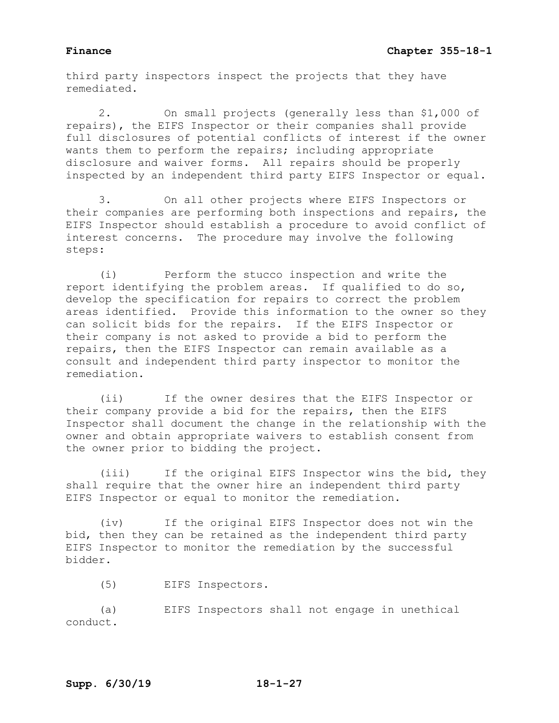third party inspectors inspect the projects that they have remediated.

2. On small projects (generally less than \$1,000 of repairs), the EIFS Inspector or their companies shall provide full disclosures of potential conflicts of interest if the owner wants them to perform the repairs; including appropriate disclosure and waiver forms. All repairs should be properly inspected by an independent third party EIFS Inspector or equal.

3. On all other projects where EIFS Inspectors or their companies are performing both inspections and repairs, the EIFS Inspector should establish a procedure to avoid conflict of interest concerns. The procedure may involve the following steps:

(i) Perform the stucco inspection and write the report identifying the problem areas. If qualified to do so, develop the specification for repairs to correct the problem areas identified. Provide this information to the owner so they can solicit bids for the repairs. If the EIFS Inspector or their company is not asked to provide a bid to perform the repairs, then the EIFS Inspector can remain available as a consult and independent third party inspector to monitor the remediation.

(ii) If the owner desires that the EIFS Inspector or their company provide a bid for the repairs, then the EIFS Inspector shall document the change in the relationship with the owner and obtain appropriate waivers to establish consent from the owner prior to bidding the project.

(iii) If the original EIFS Inspector wins the bid, they shall require that the owner hire an independent third party EIFS Inspector or equal to monitor the remediation.

(iv) If the original EIFS Inspector does not win the bid, then they can be retained as the independent third party EIFS Inspector to monitor the remediation by the successful bidder.

(5) EIFS Inspectors.

(a) EIFS Inspectors shall not engage in unethical conduct.